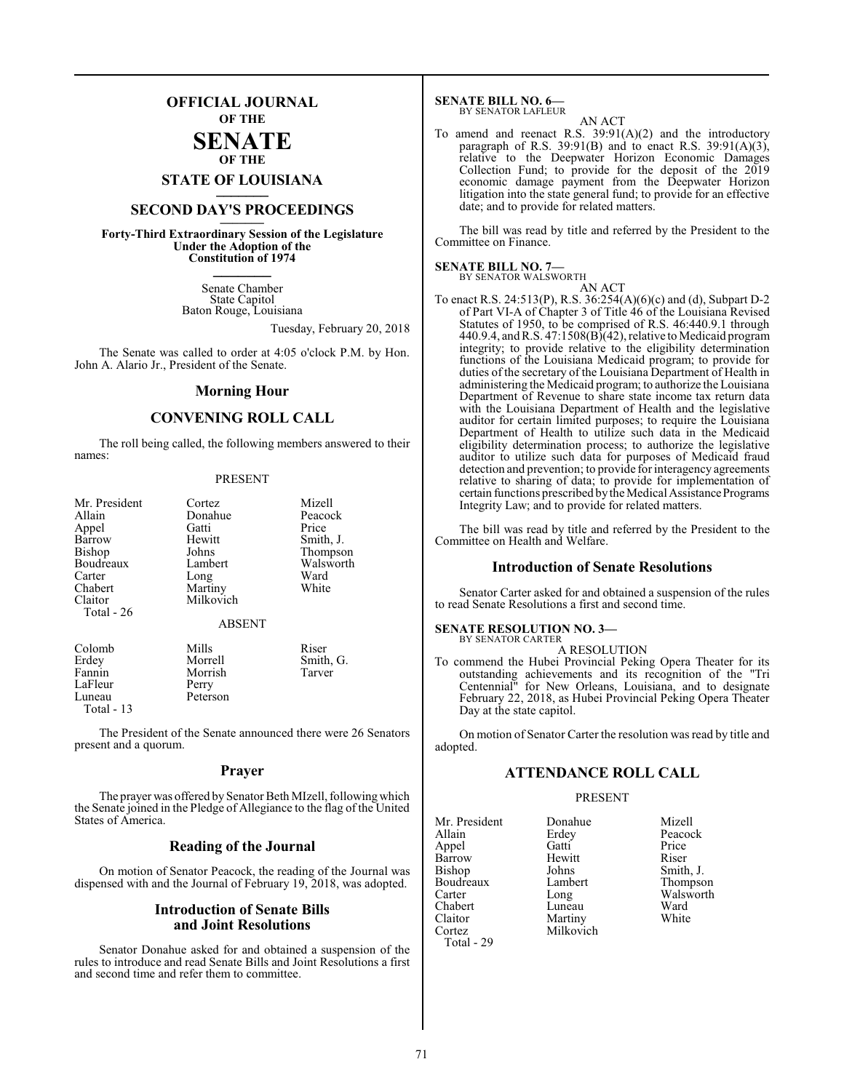#### **OFFICIAL JOURNAL OF THE**

### **SENATE OF THE**

# **STATE OF LOUISIANA \_\_\_\_\_\_\_**

## **SECOND DAY'S PROCEEDINGS \_\_\_\_\_\_\_**

**Forty-Third Extraordinary Session of the Legislature Under the Adoption of the Constitution of 1974 \_\_\_\_\_\_\_**

> Senate Chamber State Capitol Baton Rouge, Louisiana

> > Tuesday, February 20, 2018

The Senate was called to order at 4:05 o'clock P.M. by Hon. John A. Alario Jr., President of the Senate.

#### **Morning Hour**

#### **CONVENING ROLL CALL**

The roll being called, the following members answered to their names:

#### PRESENT

| Mr. President<br>Allain | Cortez<br>Donahue | Mizell<br>Peacock |
|-------------------------|-------------------|-------------------|
| Appel                   | Gatti             | Price             |
| Barrow                  | Hewitt            | Smith, J.         |
| <b>Bishop</b>           | Johns             | Thompson          |
| Boudreaux               | Lambert           | Walsworth         |
| Carter                  | Long              | Ward              |
| Chabert                 | Martiny           | White             |
| Claitor                 | Milkovich         |                   |
| Total - 26              |                   |                   |
|                         | <b>ABSENT</b>     |                   |
| Colomb                  | Mills             | Riser             |
| Erdey                   | Morrell           | Smith, G.         |
| Fannin                  | Morrish           | Tarver            |
| LaFleur                 | Perry             |                   |
| Luneau                  | Peterson          |                   |
| Total - 13              |                   |                   |

The President of the Senate announced there were 26 Senators present and a quorum.

#### **Prayer**

The prayer was offered by Senator Beth MIzell, followingwhich the Senate joined in the Pledge of Allegiance to the flag of the United States of America.

#### **Reading of the Journal**

On motion of Senator Peacock, the reading of the Journal was dispensed with and the Journal of February 19, 2018, was adopted.

#### **Introduction of Senate Bills and Joint Resolutions**

Senator Donahue asked for and obtained a suspension of the rules to introduce and read Senate Bills and Joint Resolutions a first and second time and refer them to committee.

#### **SENATE BILL NO. 6—**

BY SENATOR LAFLEUR AN ACT

To amend and reenact R.S. 39:91(A)(2) and the introductory paragraph of R.S.  $39:91(B)$  and to enact R.S.  $39:91(A)(3)$ , relative to the Deepwater Horizon Economic Damages Collection Fund; to provide for the deposit of the  $2019$ economic damage payment from the Deepwater Horizon litigation into the state general fund; to provide for an effective date; and to provide for related matters.

The bill was read by title and referred by the President to the Committee on Finance.

#### **SENATE BILL NO. 7—**

BY SENATOR WALSWORTH AN ACT

To enact R.S. 24:513(P), R.S. 36:254(A)(6)(c) and (d), Subpart D-2 of Part VI-A of Chapter 3 of Title 46 of the Louisiana Revised Statutes of 1950, to be comprised of R.S. 46:440.9.1 through 440.9.4, andR.S. 47:1508(B)(42), relative to Medicaid program integrity; to provide relative to the eligibility determination functions of the Louisiana Medicaid program; to provide for duties of the secretary of the Louisiana Department of Health in administering the Medicaid program; to authorize the Louisiana Department of Revenue to share state income tax return data with the Louisiana Department of Health and the legislative auditor for certain limited purposes; to require the Louisiana Department of Health to utilize such data in the Medicaid eligibility determination process; to authorize the legislative auditor to utilize such data for purposes of Medicaid fraud detection and prevention; to provide for interagency agreements relative to sharing of data; to provide for implementation of certain functions prescribed by the Medical Assistance Programs Integrity Law; and to provide for related matters.

The bill was read by title and referred by the President to the Committee on Health and Welfare.

#### **Introduction of Senate Resolutions**

Senator Carter asked for and obtained a suspension of the rules to read Senate Resolutions a first and second time.

#### **SENATE RESOLUTION NO. 3—** BY SENATOR CARTER

A RESOLUTION

To commend the Hubei Provincial Peking Opera Theater for its outstanding achievements and its recognition of the "Tri Centennial" for New Orleans, Louisiana, and to designate February 22, 2018, as Hubei Provincial Peking Opera Theater Day at the state capitol.

On motion of Senator Carter the resolution was read by title and adopted.

#### **ATTENDANCE ROLL CALL**

#### PRESENT

Milkovich

Mr. President Donahue Mizell<br>Allain Erdey Peacoc Appel Gatti Price<br>
Barrow Hewitt Riser Barrow Hewit<br>Bishop Johns Boudreaux Lambert Lambert Thompson<br>
Carter Long Chabert Luneau Ward<br>
Claitor Martiny White Claitor Martiny<br>Cortez Milkovi Total - 29

Erdey Peacock<br>Gatti Price Johns Smith, J.<br>Lambert Thompson Long Walsworth<br>
Luneau Ward